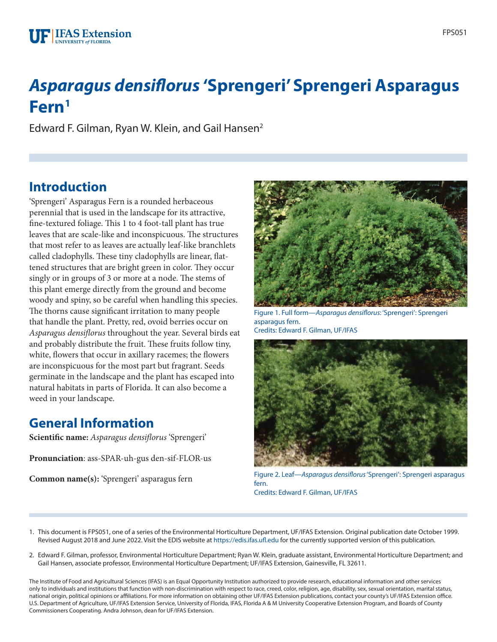

# *Asparagus densiflorus* **'Sprengeri' Sprengeri Asparagus Fern1**

Edward F. Gilman, Ryan W. Klein, and Gail Hansen<sup>2</sup>

# **Introduction**

'Sprengeri' Asparagus Fern is a rounded herbaceous perennial that is used in the landscape for its attractive, fine-textured foliage. This 1 to 4 foot-tall plant has true leaves that are scale-like and inconspicuous. The structures that most refer to as leaves are actually leaf-like branchlets called cladophylls. These tiny cladophylls are linear, flattened structures that are bright green in color. They occur singly or in groups of 3 or more at a node. The stems of this plant emerge directly from the ground and become woody and spiny, so be careful when handling this species. The thorns cause significant irritation to many people that handle the plant. Pretty, red, ovoid berries occur on *Asparagus densiflorus* throughout the year. Several birds eat and probably distribute the fruit. These fruits follow tiny, white, flowers that occur in axillary racemes; the flowers are inconspicuous for the most part but fragrant. Seeds germinate in the landscape and the plant has escaped into natural habitats in parts of Florida. It can also become a weed in your landscape.

# **General Information**

**Scientific name:** *Asparagus densiflorus* 'Sprengeri'

**Pronunciation**: ass-SPAR-uh-gus den-sif-FLOR-us

**Common name(s):** 'Sprengeri' asparagus fern



Figure 1. Full form—*Asparagus densiflorus*: 'Sprengeri': Sprengeri asparagus fern. Credits: Edward F. Gilman, UF/IFAS



Figure 2. Leaf—*Asparagus densiflorus* 'Sprengeri': Sprengeri asparagus fern. Credits: Edward F. Gilman, UF/IFAS

- 1. This document is FPS051, one of a series of the Environmental Horticulture Department, UF/IFAS Extension. Original publication date October 1999. Revised August 2018 and June 2022. Visit the EDIS website at<https://edis.ifas.ufl.edu>for the currently supported version of this publication.
- 2. Edward F. Gilman, professor, Environmental Horticulture Department; Ryan W. Klein, graduate assistant, Environmental Horticulture Department; and Gail Hansen, associate professor, Environmental Horticulture Department; UF/IFAS Extension, Gainesville, FL 32611.

The Institute of Food and Agricultural Sciences (IFAS) is an Equal Opportunity Institution authorized to provide research, educational information and other services only to individuals and institutions that function with non-discrimination with respect to race, creed, color, religion, age, disability, sex, sexual orientation, marital status, national origin, political opinions or affiliations. For more information on obtaining other UF/IFAS Extension publications, contact your county's UF/IFAS Extension office. U.S. Department of Agriculture, UF/IFAS Extension Service, University of Florida, IFAS, Florida A & M University Cooperative Extension Program, and Boards of County Commissioners Cooperating. Andra Johnson, dean for UF/IFAS Extension.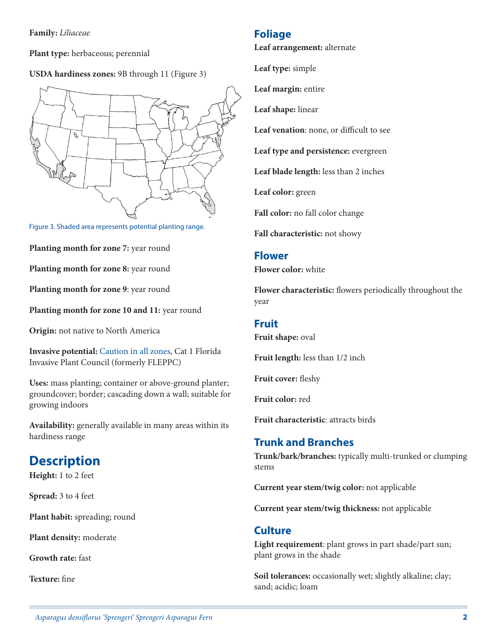**Family:** *Liliaceae*

**Plant type:** herbaceous; perennial

#### **USDA hardiness zones:** 9B through 11 (Figure 3)



Figure 3. Shaded area represents potential planting range.

**Planting month for zone 7:** year round

**Planting month for zone 8:** year round

**Planting month for zone 9**: year round

**Planting month for zone 10 and 11:** year round

**Origin:** not native to North America

**Invasive potential:** [Caution in all zones](https://assessment.ifas.ufl.edu/assessments/asparagus-aethiopicus/), Cat 1 Florida Invasive Plant Council (formerly FLEPPC)

**Uses:** mass planting; container or above-ground planter; groundcover; border; cascading down a wall; suitable for growing indoors

**Availability:** generally available in many areas within its hardiness range

# **Description**

**Height:** 1 to 2 feet

**Spread:** 3 to 4 feet

**Plant habit:** spreading; round

**Plant density:** moderate

**Growth rate:** fast

**Texture:** fine

#### **Foliage**

**Leaf arrangement:** alternate

**Leaf type:** simple

**Leaf margin:** entire

**Leaf shape:** linear

**Leaf venation**: none, or difficult to see

**Leaf type and persistence:** evergreen

**Leaf blade length:** less than 2 inches

**Leaf color:** green

**Fall color:** no fall color change

**Fall characteristic:** not showy

#### **Flower**

**Flower color:** white

**Flower characteristic:** flowers periodically throughout the year

#### **Fruit**

**Fruit shape:** oval

**Fruit length:** less than 1/2 inch

**Fruit cover:** fleshy

**Fruit color:** red

**Fruit characteristic**: attracts birds

## **Trunk and Branches**

**Trunk/bark/branches:** typically multi-trunked or clumping stems

**Current year stem/twig color:** not applicable

**Current year stem/twig thickness:** not applicable

### **Culture**

**Light requirement**: plant grows in part shade/part sun; plant grows in the shade

**Soil tolerances:** occasionally wet; slightly alkaline; clay; sand; acidic; loam